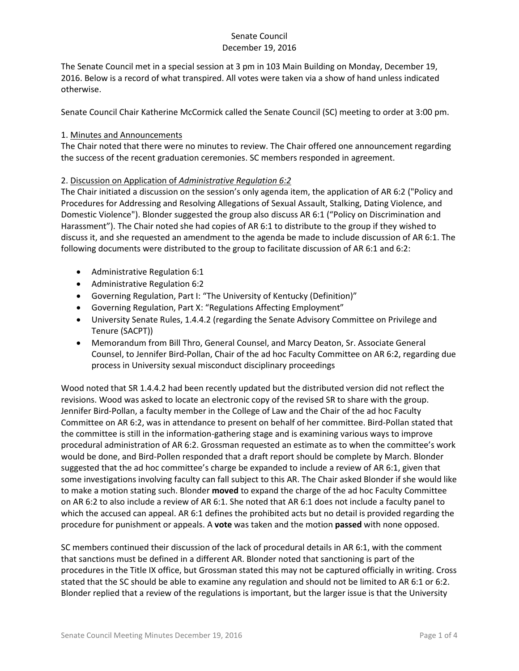The Senate Council met in a special session at 3 pm in 103 Main Building on Monday, December 19, 2016. Below is a record of what transpired. All votes were taken via a show of hand unless indicated otherwise.

Senate Council Chair Katherine McCormick called the Senate Council (SC) meeting to order at 3:00 pm.

#### 1. Minutes and Announcements

The Chair noted that there were no minutes to review. The Chair offered one announcement regarding the success of the recent graduation ceremonies. SC members responded in agreement.

#### 2. Discussion on Application of *Administrative Regulation 6:2*

The Chair initiated a discussion on the session's only agenda item, the application of AR 6:2 ("Policy and Procedures for Addressing and Resolving Allegations of Sexual Assault, Stalking, Dating Violence, and Domestic Violence"). Blonder suggested the group also discuss AR 6:1 ("Policy on Discrimination and Harassment"). The Chair noted she had copies of AR 6:1 to distribute to the group if they wished to discuss it, and she requested an amendment to the agenda be made to include discussion of AR 6:1. The following documents were distributed to the group to facilitate discussion of AR 6:1 and 6:2:

- Administrative Regulation 6:1
- Administrative Regulation 6:2
- Governing Regulation, Part I: "The University of Kentucky (Definition)"
- Governing Regulation, Part X: "Regulations Affecting Employment"
- University Senate Rules, 1.4.4.2 (regarding the Senate Advisory Committee on Privilege and Tenure (SACPT))
- Memorandum from Bill Thro, General Counsel, and Marcy Deaton, Sr. Associate General Counsel, to Jennifer Bird-Pollan, Chair of the ad hoc Faculty Committee on AR 6:2, regarding due process in University sexual misconduct disciplinary proceedings

Wood noted that SR 1.4.4.2 had been recently updated but the distributed version did not reflect the revisions. Wood was asked to locate an electronic copy of the revised SR to share with the group. Jennifer Bird-Pollan, a faculty member in the College of Law and the Chair of the ad hoc Faculty Committee on AR 6:2, was in attendance to present on behalf of her committee. Bird-Pollan stated that the committee is still in the information-gathering stage and is examining various ways to improve procedural administration of AR 6:2. Grossman requested an estimate as to when the committee's work would be done, and Bird-Pollen responded that a draft report should be complete by March. Blonder suggested that the ad hoc committee's charge be expanded to include a review of AR 6:1, given that some investigations involving faculty can fall subject to this AR. The Chair asked Blonder if she would like to make a motion stating such. Blonder **moved** to expand the charge of the ad hoc Faculty Committee on AR 6:2 to also include a review of AR 6:1. She noted that AR 6:1 does not include a faculty panel to which the accused can appeal. AR 6:1 defines the prohibited acts but no detail is provided regarding the procedure for punishment or appeals. A **vote** was taken and the motion **passed** with none opposed.

SC members continued their discussion of the lack of procedural details in AR 6:1, with the comment that sanctions must be defined in a different AR. Blonder noted that sanctioning is part of the procedures in the Title IX office, but Grossman stated this may not be captured officially in writing. Cross stated that the SC should be able to examine any regulation and should not be limited to AR 6:1 or 6:2. Blonder replied that a review of the regulations is important, but the larger issue is that the University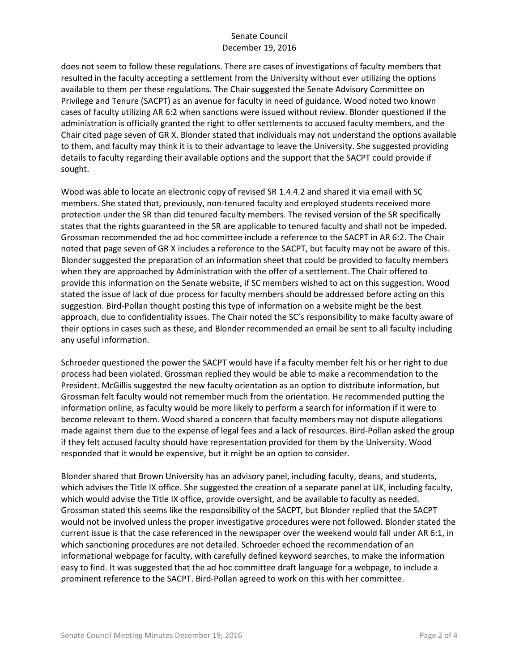does not seem to follow these regulations. There are cases of investigations of faculty members that resulted in the faculty accepting a settlement from the University without ever utilizing the options available to them per these regulations. The Chair suggested the Senate Advisory Committee on Privilege and Tenure (SACPT) as an avenue for faculty in need of guidance. Wood noted two known cases of faculty utilizing AR 6:2 when sanctions were issued without review. Blonder questioned if the administration is officially granted the right to offer settlements to accused faculty members, and the Chair cited page seven of GR X. Blonder stated that individuals may not understand the options available to them, and faculty may think it is to their advantage to leave the University. She suggested providing details to faculty regarding their available options and the support that the SACPT could provide if sought.

Wood was able to locate an electronic copy of revised SR 1.4.4.2 and shared it via email with SC members. She stated that, previously, non-tenured faculty and employed students received more protection under the SR than did tenured faculty members. The revised version of the SR specifically states that the rights guaranteed in the SR are applicable to tenured faculty and shall not be impeded. Grossman recommended the ad hoc committee include a reference to the SACPT in AR 6:2. The Chair noted that page seven of GR X includes a reference to the SACPT, but faculty may not be aware of this. Blonder suggested the preparation of an information sheet that could be provided to faculty members when they are approached by Administration with the offer of a settlement. The Chair offered to provide this information on the Senate website, if SC members wished to act on this suggestion. Wood stated the issue of lack of due process for faculty members should be addressed before acting on this suggestion. Bird-Pollan thought posting this type of information on a website might be the best approach, due to confidentiality issues. The Chair noted the SC's responsibility to make faculty aware of their options in cases such as these, and Blonder recommended an email be sent to all faculty including any useful information.

Schroeder questioned the power the SACPT would have if a faculty member felt his or her right to due process had been violated. Grossman replied they would be able to make a recommendation to the President. McGillis suggested the new faculty orientation as an option to distribute information, but Grossman felt faculty would not remember much from the orientation. He recommended putting the information online, as faculty would be more likely to perform a search for information if it were to become relevant to them. Wood shared a concern that faculty members may not dispute allegations made against them due to the expense of legal fees and a lack of resources. Bird-Pollan asked the group if they felt accused faculty should have representation provided for them by the University. Wood responded that it would be expensive, but it might be an option to consider.

Blonder shared that Brown University has an advisory panel, including faculty, deans, and students, which advises the Title IX office. She suggested the creation of a separate panel at UK, including faculty, which would advise the Title IX office, provide oversight, and be available to faculty as needed. Grossman stated this seems like the responsibility of the SACPT, but Blonder replied that the SACPT would not be involved unless the proper investigative procedures were not followed. Blonder stated the current issue is that the case referenced in the newspaper over the weekend would fall under AR 6:1, in which sanctioning procedures are not detailed. Schroeder echoed the recommendation of an informational webpage for faculty, with carefully defined keyword searches, to make the information easy to find. It was suggested that the ad hoc committee draft language for a webpage, to include a prominent reference to the SACPT. Bird-Pollan agreed to work on this with her committee.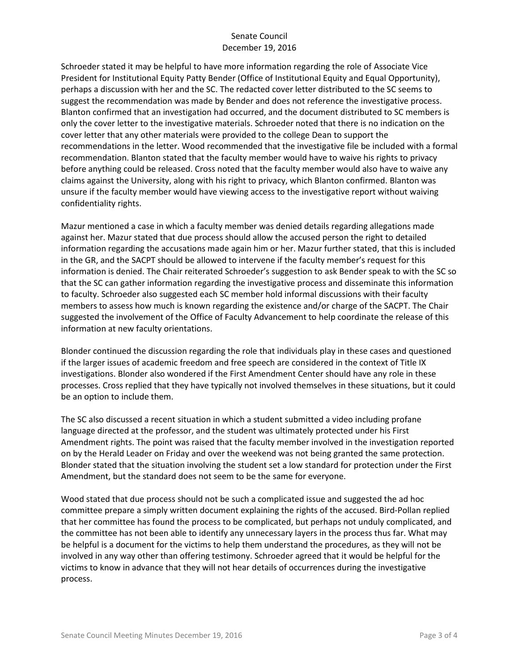Schroeder stated it may be helpful to have more information regarding the role of Associate Vice President for Institutional Equity Patty Bender (Office of Institutional Equity and Equal Opportunity), perhaps a discussion with her and the SC. The redacted cover letter distributed to the SC seems to suggest the recommendation was made by Bender and does not reference the investigative process. Blanton confirmed that an investigation had occurred, and the document distributed to SC members is only the cover letter to the investigative materials. Schroeder noted that there is no indication on the cover letter that any other materials were provided to the college Dean to support the recommendations in the letter. Wood recommended that the investigative file be included with a formal recommendation. Blanton stated that the faculty member would have to waive his rights to privacy before anything could be released. Cross noted that the faculty member would also have to waive any claims against the University, along with his right to privacy, which Blanton confirmed. Blanton was unsure if the faculty member would have viewing access to the investigative report without waiving confidentiality rights.

Mazur mentioned a case in which a faculty member was denied details regarding allegations made against her. Mazur stated that due process should allow the accused person the right to detailed information regarding the accusations made again him or her. Mazur further stated, that this is included in the GR, and the SACPT should be allowed to intervene if the faculty member's request for this information is denied. The Chair reiterated Schroeder's suggestion to ask Bender speak to with the SC so that the SC can gather information regarding the investigative process and disseminate this information to faculty. Schroeder also suggested each SC member hold informal discussions with their faculty members to assess how much is known regarding the existence and/or charge of the SACPT. The Chair suggested the involvement of the Office of Faculty Advancement to help coordinate the release of this information at new faculty orientations.

Blonder continued the discussion regarding the role that individuals play in these cases and questioned if the larger issues of academic freedom and free speech are considered in the context of Title IX investigations. Blonder also wondered if the First Amendment Center should have any role in these processes. Cross replied that they have typically not involved themselves in these situations, but it could be an option to include them.

The SC also discussed a recent situation in which a student submitted a video including profane language directed at the professor, and the student was ultimately protected under his First Amendment rights. The point was raised that the faculty member involved in the investigation reported on by the Herald Leader on Friday and over the weekend was not being granted the same protection. Blonder stated that the situation involving the student set a low standard for protection under the First Amendment, but the standard does not seem to be the same for everyone.

Wood stated that due process should not be such a complicated issue and suggested the ad hoc committee prepare a simply written document explaining the rights of the accused. Bird-Pollan replied that her committee has found the process to be complicated, but perhaps not unduly complicated, and the committee has not been able to identify any unnecessary layers in the process thus far. What may be helpful is a document for the victims to help them understand the procedures, as they will not be involved in any way other than offering testimony. Schroeder agreed that it would be helpful for the victims to know in advance that they will not hear details of occurrences during the investigative process.